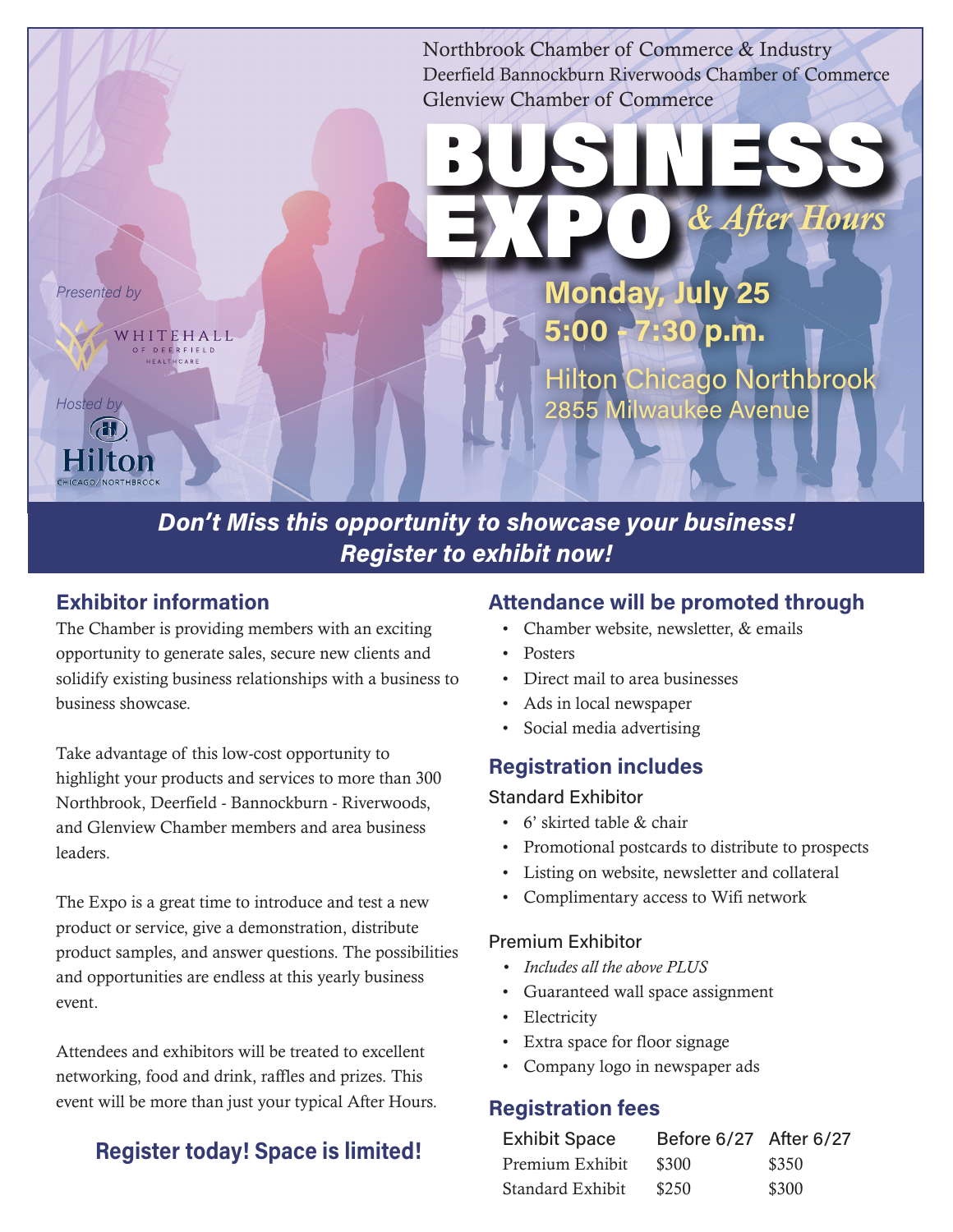Northbrook Chamber of Commerce & Industry Deerfield Bannockburn Riverwoods Chamber of Commerce Glenview Chamber of Commerce BUSINESS EXPO *& After Hours* Monday, July 25 Presented by 5:00 - 7:30 p.m. WHITEHALL **DEERFIELD** Hilton Chicago Northbrook Hosted by 2855 Milwaukee Avenue Don't Miss this opportunity to showcase your business!

Register to exhibit now!

# Exhibitor information

The Chamber is providing members with an exciting opportunity to generate sales, secure new clients and solidify existing business relationships with a business to business showcase.

Take advantage of this low-cost opportunity to highlight your products and services to more than 300 Northbrook, Deerfield - Bannockburn - Riverwoods, and Glenview Chamber members and area business leaders.

The Expo is a great time to introduce and test a new product or service, give a demonstration, distribute product samples, and answer questions. The possibilities and opportunities are endless at this yearly business event.

Attendees and exhibitors will be treated to excellent networking, food and drink, raffles and prizes. This event will be more than just your typical After Hours.

# Register today! Space is limited!

## Attendance will be promoted through

- Chamber website, newsletter, & emails
- Posters
- Direct mail to area businesses
- Ads in local newspaper
- Social media advertising

## Registration includes

#### Standard Exhibitor

- 6' skirted table & chair
- Promotional postcards to distribute to prospects
- Listing on website, newsletter and collateral
- Complimentary access to Wifi network

#### Premium Exhibitor

- *• Includes all the above PLUS*
- Guaranteed wall space assignment
- Electricity
- Extra space for floor signage
- Company logo in newspaper ads

### Registration fees

| <b>Exhibit Space</b> | Before 6/27 After 6/27 |       |
|----------------------|------------------------|-------|
| Premium Exhibit      | \$300                  | \$350 |
| Standard Exhibit     | \$250                  | \$300 |